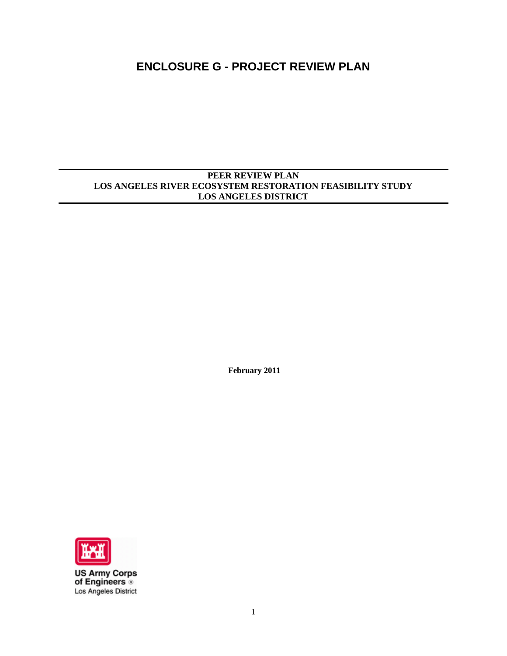# **ENCLOSURE G - PROJECT REVIEW PLAN**

#### **PEER REVIEW PLAN LOS ANGELES RIVER ECOSYSTEM RESTORATION FEASIBILITY STUDY LOS ANGELES DISTRICT**

 **February 2011** 



**US Army Corps<br>of Engineers** Los Angeles District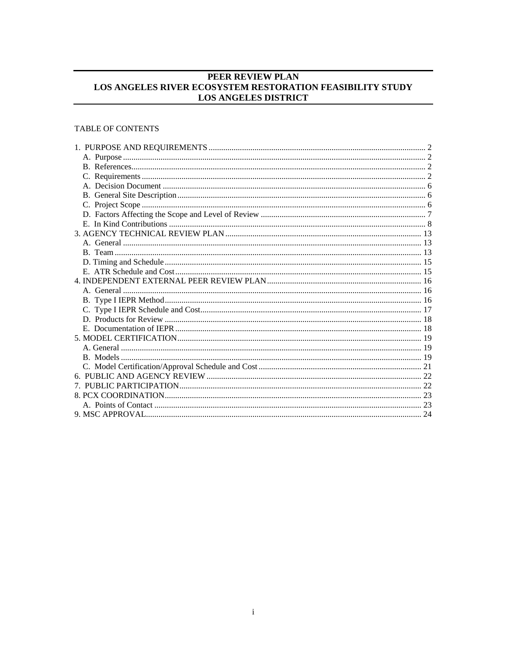# PEER REVIEW PLAN LOS ANGELES RIVER ECOSYSTEM RESTORATION FEASIBILITY STUDY **LOS ANGELES DISTRICT**

# TABLE OF CONTENTS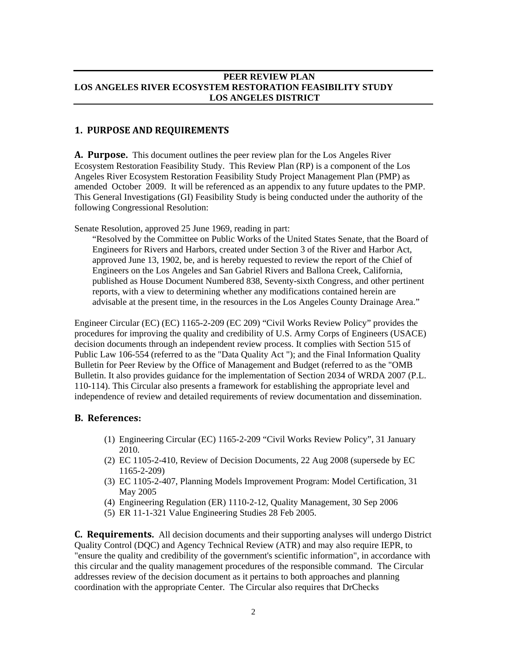#### **PEER REVIEW PLAN LOS ANGELES RIVER ECOSYSTEM RESTORATION FEASIBILITY STUDY LOS ANGELES DISTRICT**

## **1. PURPOSE AND REQUIREMENTS**

**A. Purpose.** This document outlines the peer review plan for the Los Angeles River Ecosystem Restoration Feasibility Study. This Review Plan (RP) is a component of the Los Angeles River Ecosystem Restoration Feasibility Study Project Management Plan (PMP) as amended October 2009. It will be referenced as an appendix to any future updates to the PMP. This General Investigations (GI) Feasibility Study is being conducted under the authority of the following Congressional Resolution:

Senate Resolution, approved 25 June 1969, reading in part:

"Resolved by the Committee on Public Works of the United States Senate, that the Board of Engineers for Rivers and Harbors, created under Section 3 of the River and Harbor Act, approved June 13, 1902, be, and is hereby requested to review the report of the Chief of Engineers on the Los Angeles and San Gabriel Rivers and Ballona Creek, California, published as House Document Numbered 838, Seventy-sixth Congress, and other pertinent reports, with a view to determining whether any modifications contained herein are advisable at the present time, in the resources in the Los Angeles County Drainage Area."

Engineer Circular (EC) (EC) 1165-2-209 (EC 209) "Civil Works Review Policy" provides the procedures for improving the quality and credibility of U.S. Army Corps of Engineers (USACE) decision documents through an independent review process. It complies with Section 515 of Public Law 106-554 (referred to as the "Data Quality Act "); and the Final Information Quality Bulletin for Peer Review by the Office of Management and Budget (referred to as the "OMB Bulletin. It also provides guidance for the implementation of Section 2034 of WRDA 2007 (P.L. 110-114). This Circular also presents a framework for establishing the appropriate level and independence of review and detailed requirements of review documentation and dissemination.

## **B. References:**

- (1) Engineering Circular (EC) 1165-2-209 "Civil Works Review Policy", 31 January 2010.
- (2) EC 1105-2-410, Review of Decision Documents, 22 Aug 2008 (supersede by EC 1165-2-209)
- (3) EC 1105-2-407, Planning Models Improvement Program: Model Certification, 31 May 2005
- (4) Engineering Regulation (ER) 1110-2-12, Quality Management, 30 Sep 2006
- (5) ER 11-1-321 Value Engineering Studies 28 Feb 2005.

**C. Requirements.** All decision documents and their supporting analyses will undergo District Quality Control (DQC) and Agency Technical Review (ATR) and may also require IEPR, to "ensure the quality and credibility of the government's scientific information", in accordance with this circular and the quality management procedures of the responsible command. The Circular addresses review of the decision document as it pertains to both approaches and planning coordination with the appropriate Center. The Circular also requires that DrChecks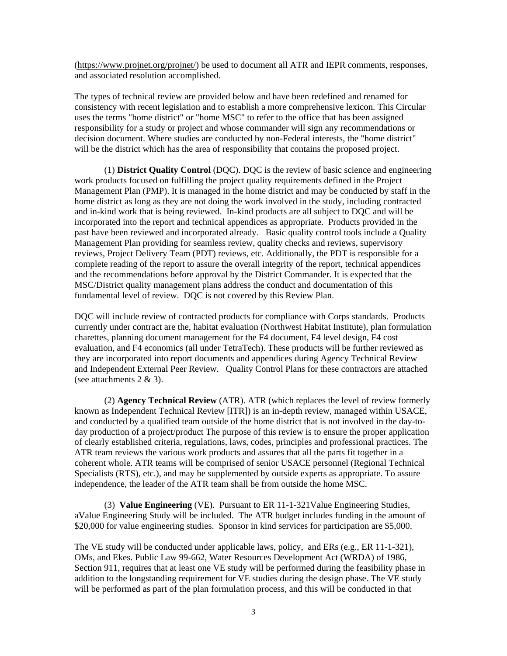(https://www.projnet.org/projnet/) be used to document all ATR and IEPR comments, responses, and associated resolution accomplished.

The types of technical review are provided below and have been redefined and renamed for consistency with recent legislation and to establish a more comprehensive lexicon. This Circular uses the terms "home district" or "home MSC" to refer to the office that has been assigned responsibility for a study or project and whose commander will sign any recommendations or decision document. Where studies are conducted by non-Federal interests, the "home district" will be the district which has the area of responsibility that contains the proposed project.

(1) **District Quality Control** (DQC). DQC is the review of basic science and engineering work products focused on fulfilling the project quality requirements defined in the Project Management Plan (PMP). It is managed in the home district and may be conducted by staff in the home district as long as they are not doing the work involved in the study, including contracted and in-kind work that is being reviewed. In-kind products are all subject to DQC and will be incorporated into the report and technical appendices as appropriate. Products provided in the past have been reviewed and incorporated already. Basic quality control tools include a Quality Management Plan providing for seamless review, quality checks and reviews, supervisory reviews, Project Delivery Team (PDT) reviews, etc. Additionally, the PDT is responsible for a complete reading of the report to assure the overall integrity of the report, technical appendices and the recommendations before approval by the District Commander. It is expected that the MSC/District quality management plans address the conduct and documentation of this fundamental level of review. DQC is not covered by this Review Plan.

DQC will include review of contracted products for compliance with Corps standards. Products currently under contract are the, habitat evaluation (Northwest Habitat Institute), plan formulation charettes, planning document management for the F4 document, F4 level design, F4 cost evaluation, and F4 economics (all under TetraTech). These products will be further reviewed as they are incorporated into report documents and appendices during Agency Technical Review and Independent External Peer Review. Quality Control Plans for these contractors are attached (see attachments  $2 \& 3$ ).

(2) **Agency Technical Review** (ATR). ATR (which replaces the level of review formerly known as Independent Technical Review [ITR]) is an in-depth review, managed within USACE, and conducted by a qualified team outside of the home district that is not involved in the day-today production of a project/product The purpose of this review is to ensure the proper application of clearly established criteria, regulations, laws, codes, principles and professional practices. The ATR team reviews the various work products and assures that all the parts fit together in a coherent whole. ATR teams will be comprised of senior USACE personnel (Regional Technical Specialists (RTS), etc.), and may be supplemented by outside experts as appropriate. To assure independence, the leader of the ATR team shall be from outside the home MSC.

(3) **Value Engineering** (VE). Pursuant to ER 11-1-321Value Engineering Studies, aValue Engineering Study will be included. The ATR budget includes funding in the amount of \$20,000 for value engineering studies. Sponsor in kind services for participation are \$5,000.

The VE study will be conducted under applicable laws, policy, and ERs (e.g., ER 11-1-321), OMs, and Ekes. Public Law 99-662, Water Resources Development Act (WRDA) of 1986, Section 911, requires that at least one VE study will be performed during the feasibility phase in addition to the longstanding requirement for VE studies during the design phase. The VE study will be performed as part of the plan formulation process, and this will be conducted in that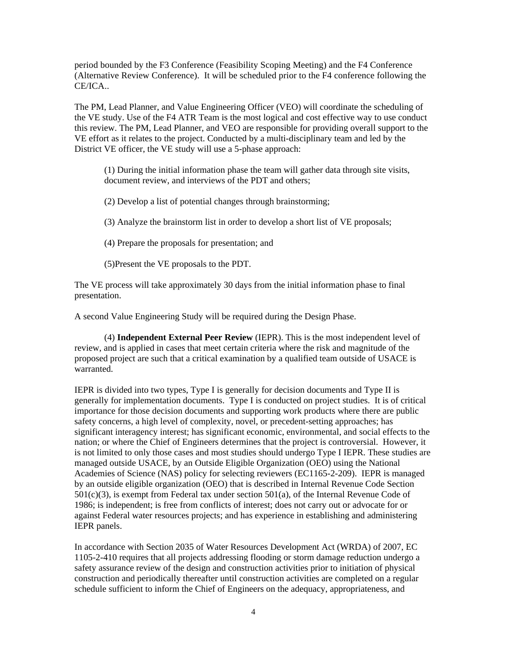period bounded by the F3 Conference (Feasibility Scoping Meeting) and the F4 Conference (Alternative Review Conference). It will be scheduled prior to the F4 conference following the CE/ICA..

The PM, Lead Planner, and Value Engineering Officer (VEO) will coordinate the scheduling of the VE study. Use of the F4 ATR Team is the most logical and cost effective way to use conduct this review. The PM, Lead Planner, and VEO are responsible for providing overall support to the VE effort as it relates to the project. Conducted by a multi-disciplinary team and led by the District VE officer, the VE study will use a 5-phase approach:

(1) During the initial information phase the team will gather data through site visits, document review, and interviews of the PDT and others;

(2) Develop a list of potential changes through brainstorming;

(3) Analyze the brainstorm list in order to develop a short list of VE proposals;

(4) Prepare the proposals for presentation; and

(5)Present the VE proposals to the PDT.

The VE process will take approximately 30 days from the initial information phase to final presentation.

A second Value Engineering Study will be required during the Design Phase.

(4) **Independent External Peer Review** (IEPR). This is the most independent level of review, and is applied in cases that meet certain criteria where the risk and magnitude of the proposed project are such that a critical examination by a qualified team outside of USACE is warranted.

IEPR is divided into two types, Type I is generally for decision documents and Type II is generally for implementation documents. Type I is conducted on project studies. It is of critical importance for those decision documents and supporting work products where there are public safety concerns, a high level of complexity, novel, or precedent-setting approaches; has significant interagency interest; has significant economic, environmental, and social effects to the nation; or where the Chief of Engineers determines that the project is controversial. However, it is not limited to only those cases and most studies should undergo Type I IEPR. These studies are managed outside USACE, by an Outside Eligible Organization (OEO) using the National Academies of Science (NAS) policy for selecting reviewers (EC1165-2-209). IEPR is managed by an outside eligible organization (OEO) that is described in Internal Revenue Code Section  $501(c)(3)$ , is exempt from Federal tax under section  $501(a)$ , of the Internal Revenue Code of 1986; is independent; is free from conflicts of interest; does not carry out or advocate for or against Federal water resources projects; and has experience in establishing and administering IEPR panels.

In accordance with Section 2035 of Water Resources Development Act (WRDA) of 2007, EC 1105-2-410 requires that all projects addressing flooding or storm damage reduction undergo a safety assurance review of the design and construction activities prior to initiation of physical construction and periodically thereafter until construction activities are completed on a regular schedule sufficient to inform the Chief of Engineers on the adequacy, appropriateness, and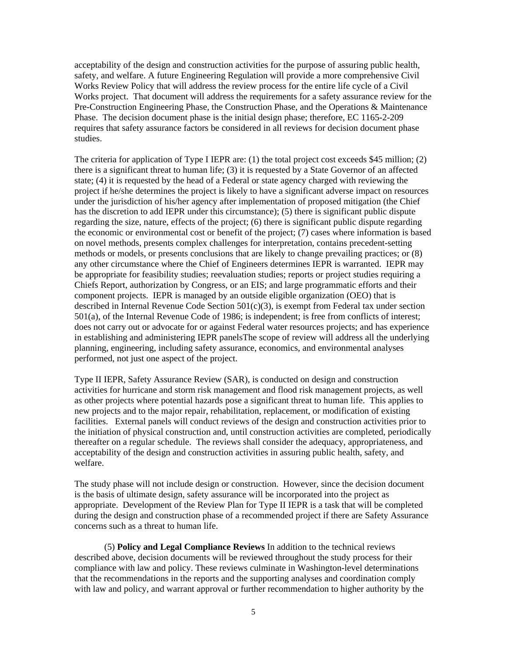acceptability of the design and construction activities for the purpose of assuring public health, safety, and welfare. A future Engineering Regulation will provide a more comprehensive Civil Works Review Policy that will address the review process for the entire life cycle of a Civil Works project. That document will address the requirements for a safety assurance review for the Pre-Construction Engineering Phase, the Construction Phase, and the Operations & Maintenance Phase. The decision document phase is the initial design phase; therefore, EC 1165-2-209 requires that safety assurance factors be considered in all reviews for decision document phase studies.

The criteria for application of Type I IEPR are: (1) the total project cost exceeds \$45 million; (2) there is a significant threat to human life; (3) it is requested by a State Governor of an affected state; (4) it is requested by the head of a Federal or state agency charged with reviewing the project if he/she determines the project is likely to have a significant adverse impact on resources under the jurisdiction of his/her agency after implementation of proposed mitigation (the Chief has the discretion to add IEPR under this circumstance); (5) there is significant public dispute regarding the size, nature, effects of the project; (6) there is significant public dispute regarding the economic or environmental cost or benefit of the project; (7) cases where information is based on novel methods, presents complex challenges for interpretation, contains precedent-setting methods or models, or presents conclusions that are likely to change prevailing practices; or (8) any other circumstance where the Chief of Engineers determines IEPR is warranted. IEPR may be appropriate for feasibility studies; reevaluation studies; reports or project studies requiring a Chiefs Report, authorization by Congress, or an EIS; and large programmatic efforts and their component projects. IEPR is managed by an outside eligible organization (OEO) that is described in Internal Revenue Code Section 501(c)(3), is exempt from Federal tax under section 501(a), of the Internal Revenue Code of 1986; is independent; is free from conflicts of interest; does not carry out or advocate for or against Federal water resources projects; and has experience in establishing and administering IEPR panelsThe scope of review will address all the underlying planning, engineering, including safety assurance, economics, and environmental analyses performed, not just one aspect of the project.

Type II IEPR, Safety Assurance Review (SAR), is conducted on design and construction activities for hurricane and storm risk management and flood risk management projects, as well as other projects where potential hazards pose a significant threat to human life. This applies to new projects and to the major repair, rehabilitation, replacement, or modification of existing facilities. External panels will conduct reviews of the design and construction activities prior to the initiation of physical construction and, until construction activities are completed, periodically thereafter on a regular schedule. The reviews shall consider the adequacy, appropriateness, and acceptability of the design and construction activities in assuring public health, safety, and welfare.

The study phase will not include design or construction. However, since the decision document is the basis of ultimate design, safety assurance will be incorporated into the project as appropriate. Development of the Review Plan for Type II IEPR is a task that will be completed during the design and construction phase of a recommended project if there are Safety Assurance concerns such as a threat to human life.

(5) **Policy and Legal Compliance Reviews** In addition to the technical reviews described above, decision documents will be reviewed throughout the study process for their compliance with law and policy. These reviews culminate in Washington-level determinations that the recommendations in the reports and the supporting analyses and coordination comply with law and policy, and warrant approval or further recommendation to higher authority by the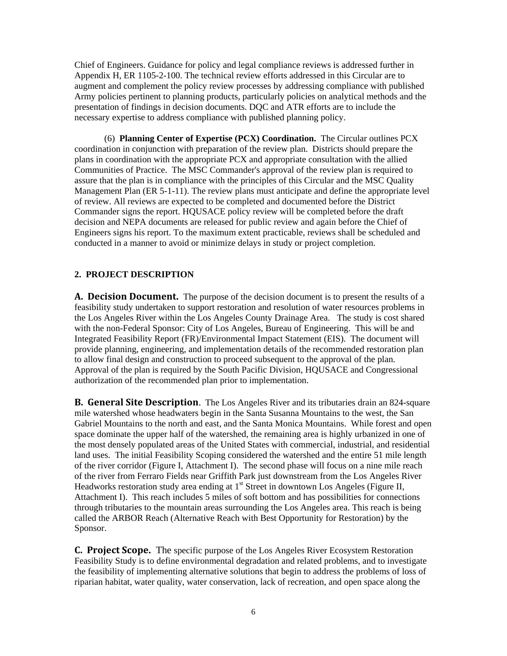Chief of Engineers. Guidance for policy and legal compliance reviews is addressed further in Appendix H, ER 1105-2-100. The technical review efforts addressed in this Circular are to augment and complement the policy review processes by addressing compliance with published Army policies pertinent to planning products, particularly policies on analytical methods and the presentation of findings in decision documents. DQC and ATR efforts are to include the necessary expertise to address compliance with published planning policy.

(6) **Planning Center of Expertise (PCX) Coordination.** The Circular outlines PCX coordination in conjunction with preparation of the review plan. Districts should prepare the plans in coordination with the appropriate PCX and appropriate consultation with the allied Communities of Practice. The MSC Commander's approval of the review plan is required to assure that the plan is in compliance with the principles of this Circular and the MSC Quality Management Plan (ER 5-1-11). The review plans must anticipate and define the appropriate level of review. All reviews are expected to be completed and documented before the District Commander signs the report. HQUSACE policy review will be completed before the draft decision and NEPA documents are released for public review and again before the Chief of Engineers signs his report. To the maximum extent practicable, reviews shall be scheduled and conducted in a manner to avoid or minimize delays in study or project completion.

#### **2. PROJECT DESCRIPTION**

**A.** Decision Document. The purpose of the decision document is to present the results of a feasibility study undertaken to support restoration and resolution of water resources problems in the Los Angeles River within the Los Angeles County Drainage Area. The study is cost shared with the non-Federal Sponsor: City of Los Angeles, Bureau of Engineering. This will be and Integrated Feasibility Report (FR)/Environmental Impact Statement (EIS). The document will provide planning, engineering, and implementation details of the recommended restoration plan to allow final design and construction to proceed subsequent to the approval of the plan. Approval of the plan is required by the South Pacific Division, HQUSACE and Congressional authorization of the recommended plan prior to implementation.

**B.** General Site Description. The Los Angeles River and its tributaries drain an 824-square mile watershed whose headwaters begin in the Santa Susanna Mountains to the west, the San Gabriel Mountains to the north and east, and the Santa Monica Mountains. While forest and open space dominate the upper half of the watershed, the remaining area is highly urbanized in one of the most densely populated areas of the United States with commercial, industrial, and residential land uses. The initial Feasibility Scoping considered the watershed and the entire 51 mile length of the river corridor (Figure I, Attachment I). The second phase will focus on a nine mile reach of the river from Ferraro Fields near Griffith Park just downstream from the Los Angeles River Headworks restoration study area ending at  $1<sup>st</sup>$  Street in downtown Los Angeles (Figure II, Attachment I). This reach includes 5 miles of soft bottom and has possibilities for connections through tributaries to the mountain areas surrounding the Los Angeles area. This reach is being called the ARBOR Reach (Alternative Reach with Best Opportunity for Restoration) by the Sponsor.

**C. Project Scope.** The specific purpose of the Los Angeles River Ecosystem Restoration Feasibility Study is to define environmental degradation and related problems, and to investigate the feasibility of implementing alternative solutions that begin to address the problems of loss of riparian habitat, water quality, water conservation, lack of recreation, and open space along the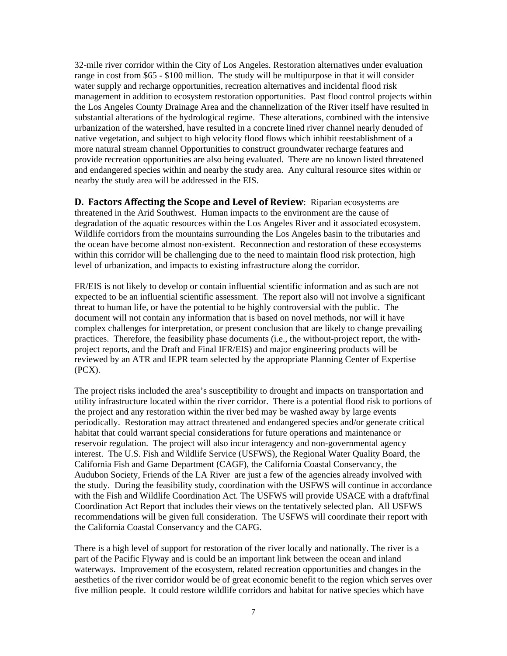32-mile river corridor within the City of Los Angeles. Restoration alternatives under evaluation range in cost from \$65 - \$100 million. The study will be multipurpose in that it will consider water supply and recharge opportunities, recreation alternatives and incidental flood risk management in addition to ecosystem restoration opportunities. Past flood control projects within the Los Angeles County Drainage Area and the channelization of the River itself have resulted in substantial alterations of the hydrological regime. These alterations, combined with the intensive urbanization of the watershed, have resulted in a concrete lined river channel nearly denuded of native vegetation, and subject to high velocity flood flows which inhibit reestablishment of a more natural stream channel Opportunities to construct groundwater recharge features and provide recreation opportunities are also being evaluated. There are no known listed threatened and endangered species within and nearby the study area. Any cultural resource sites within or nearby the study area will be addressed in the EIS.

**D. Factors Affecting the Scope and Level of Review**: Riparian ecosystems are

threatened in the Arid Southwest. Human impacts to the environment are the cause of degradation of the aquatic resources within the Los Angeles River and it associated ecosystem. Wildlife corridors from the mountains surrounding the Los Angeles basin to the tributaries and the ocean have become almost non-existent. Reconnection and restoration of these ecosystems within this corridor will be challenging due to the need to maintain flood risk protection, high level of urbanization, and impacts to existing infrastructure along the corridor.

FR/EIS is not likely to develop or contain influential scientific information and as such are not expected to be an influential scientific assessment. The report also will not involve a significant threat to human life, or have the potential to be highly controversial with the public. The document will not contain any information that is based on novel methods, nor will it have complex challenges for interpretation, or present conclusion that are likely to change prevailing practices. Therefore, the feasibility phase documents (i.e., the without-project report, the withproject reports, and the Draft and Final IFR/EIS) and major engineering products will be reviewed by an ATR and IEPR team selected by the appropriate Planning Center of Expertise (PCX).

The project risks included the area's susceptibility to drought and impacts on transportation and utility infrastructure located within the river corridor. There is a potential flood risk to portions of the project and any restoration within the river bed may be washed away by large events periodically. Restoration may attract threatened and endangered species and/or generate critical habitat that could warrant special considerations for future operations and maintenance or reservoir regulation. The project will also incur interagency and non-governmental agency interest. The U.S. Fish and Wildlife Service (USFWS), the Regional Water Quality Board, the California Fish and Game Department (CAGF), the California Coastal Conservancy, the Audubon Society, Friends of the LA River are just a few of the agencies already involved with the study. During the feasibility study, coordination with the USFWS will continue in accordance with the Fish and Wildlife Coordination Act. The USFWS will provide USACE with a draft/final Coordination Act Report that includes their views on the tentatively selected plan. All USFWS recommendations will be given full consideration. The USFWS will coordinate their report with the California Coastal Conservancy and the CAFG.

There is a high level of support for restoration of the river locally and nationally. The river is a part of the Pacific Flyway and is could be an important link between the ocean and inland waterways. Improvement of the ecosystem, related recreation opportunities and changes in the aesthetics of the river corridor would be of great economic benefit to the region which serves over five million people. It could restore wildlife corridors and habitat for native species which have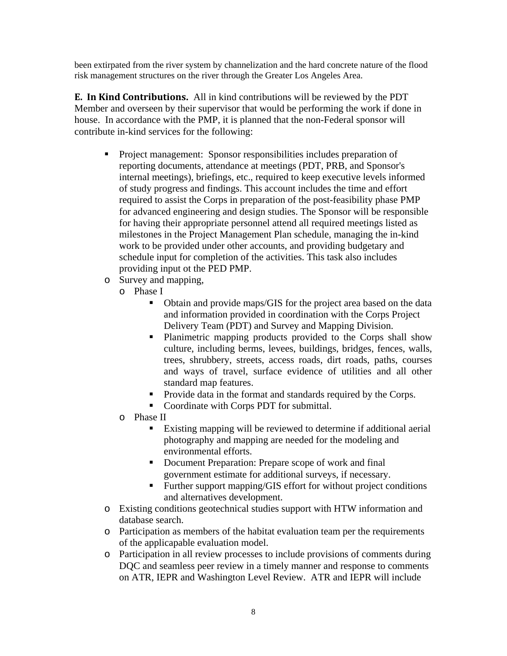been extirpated from the river system by channelization and the hard concrete nature of the flood risk management structures on the river through the Greater Los Angeles Area.

**E. In Kind Contributions.** All in kind contributions will be reviewed by the PDT Member and overseen by their supervisor that would be performing the work if done in house.In accordance with the PMP, it is planned that the non-Federal sponsor will contribute in-kind services for the following:

- **Project management: Sponsor responsibilities includes preparation of** reporting documents, attendance at meetings (PDT, PRB, and Sponsor's internal meetings), briefings, etc., required to keep executive levels informed of study progress and findings. This account includes the time and effort required to assist the Corps in preparation of the post-feasibility phase PMP for advanced engineering and design studies. The Sponsor will be responsible for having their appropriate personnel attend all required meetings listed as milestones in the Project Management Plan schedule, managing the in-kind work to be provided under other accounts, and providing budgetary and schedule input for completion of the activities. This task also includes providing input ot the PED PMP.
- o Survey and mapping,
	- o Phase I
		- Obtain and provide maps/GIS for the project area based on the data and information provided in coordination with the Corps Project Delivery Team (PDT) and Survey and Mapping Division.
		- **Planimetric mapping products provided to the Corps shall show** culture, including berms, levees, buildings, bridges, fences, walls, trees, shrubbery, streets, access roads, dirt roads, paths, courses and ways of travel, surface evidence of utilities and all other standard map features.
		- **Provide data in the format and standards required by the Corps.**
		- Coordinate with Corps PDT for submittal.
	- o Phase II
		- Existing mapping will be reviewed to determine if additional aerial photography and mapping are needed for the modeling and environmental efforts.
		- Document Preparation: Prepare scope of work and final government estimate for additional surveys, if necessary.
		- Further support mapping/GIS effort for without project conditions and alternatives development.
- o Existing conditions geotechnical studies support with HTW information and database search.
- o Participation as members of the habitat evaluation team per the requirements of the applicapable evaluation model.
- o Participation in all review processes to include provisions of comments during DQC and seamless peer review in a timely manner and response to comments on ATR, IEPR and Washington Level Review. ATR and IEPR will include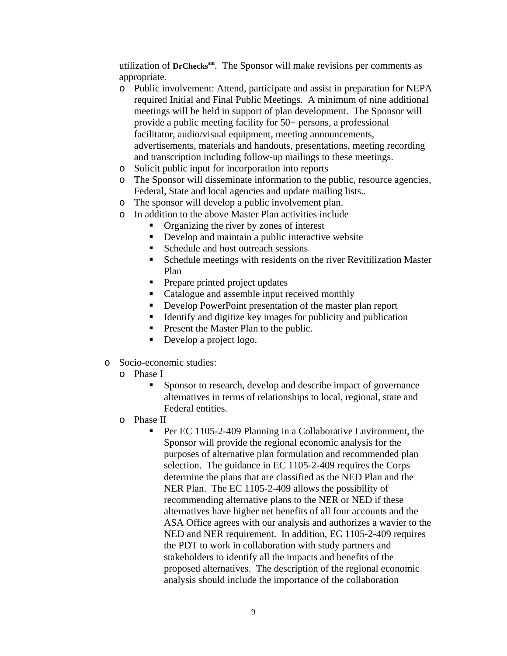utilization of **DrCheckssm**. The Sponsor will make revisions per comments as appropriate.

- o Public involvement: Attend, participate and assist in preparation for NEPA required Initial and Final Public Meetings. A minimum of nine additional meetings will be held in support of plan development. The Sponsor will provide a public meeting facility for 50+ persons, a professional facilitator, audio/visual equipment, meeting announcements, advertisements, materials and handouts, presentations, meeting recording and transcription including follow-up mailings to these meetings.
- o Solicit public input for incorporation into reports
- o The Sponsor will disseminate information to the public, resource agencies, Federal, State and local agencies and update mailing lists..
- o The sponsor will develop a public involvement plan.
- o In addition to the above Master Plan activities include
	- Organizing the river by zones of interest
	- Develop and maintain a public interactive website
	- Schedule and host outreach sessions
	- Schedule meetings with residents on the river Revitilization Master Plan
	- **Prepare printed project updates**
	- Catalogue and assemble input received monthly
	- Develop PowerPoint presentation of the master plan report
	- $\blacksquare$  Identify and digitize key images for publicity and publication
	- **Present the Master Plan to the public.**
	- Develop a project logo.
- o Socio-economic studies:
	- o Phase I
		- Sponsor to research, develop and describe impact of governance alternatives in terms of relationships to local, regional, state and Federal entities.
	- o Phase II
		- **Per EC 1105-2-409 Planning in a Collaborative Environment, the** Sponsor will provide the regional economic analysis for the purposes of alternative plan formulation and recommended plan selection. The guidance in EC 1105-2-409 requires the Corps determine the plans that are classified as the NED Plan and the NER Plan. The EC 1105-2-409 allows the possibility of recommending alternative plans to the NER or NED if these alternatives have higher net benefits of all four accounts and the ASA Office agrees with our analysis and authorizes a wavier to the NED and NER requirement. In addition, EC 1105-2-409 requires the PDT to work in collaboration with study partners and stakeholders to identify all the impacts and benefits of the proposed alternatives. The description of the regional economic analysis should include the importance of the collaboration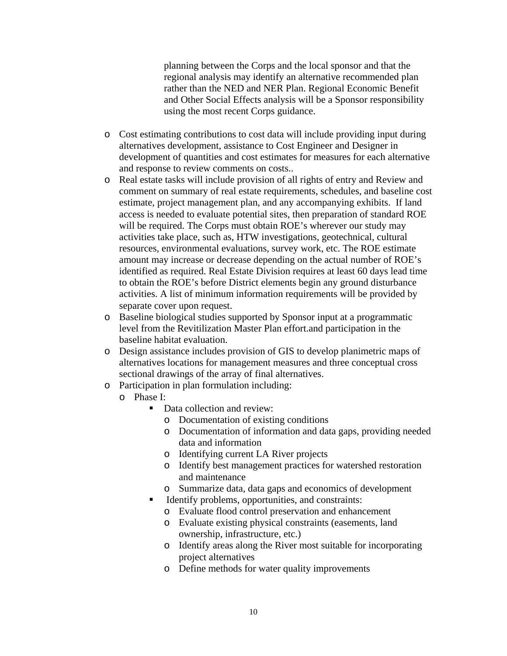planning between the Corps and the local sponsor and that the regional analysis may identify an alternative recommended plan rather than the NED and NER Plan. Regional Economic Benefit and Other Social Effects analysis will be a Sponsor responsibility using the most recent Corps guidance.

- o Cost estimating contributions to cost data will include providing input during alternatives development, assistance to Cost Engineer and Designer in development of quantities and cost estimates for measures for each alternative and response to review comments on costs..
- o Real estate tasks will include provision of all rights of entry and Review and comment on summary of real estate requirements, schedules, and baseline cost estimate, project management plan, and any accompanying exhibits. If land access is needed to evaluate potential sites, then preparation of standard ROE will be required. The Corps must obtain ROE's wherever our study may activities take place, such as, HTW investigations, geotechnical, cultural resources, environmental evaluations, survey work, etc. The ROE estimate amount may increase or decrease depending on the actual number of ROE's identified as required. Real Estate Division requires at least 60 days lead time to obtain the ROE's before District elements begin any ground disturbance activities. A list of minimum information requirements will be provided by separate cover upon request.
- o Baseline biological studies supported by Sponsor input at a programmatic level from the Revitilization Master Plan effort.and participation in the baseline habitat evaluation.
- o Design assistance includes provision of GIS to develop planimetric maps of alternatives locations for management measures and three conceptual cross sectional drawings of the array of final alternatives.
- o Participation in plan formulation including:
	- o Phase I:
		- Data collection and review:
			- o Documentation of existing conditions
			- o Documentation of information and data gaps, providing needed data and information
			- o Identifying current LA River projects
			- o Identify best management practices for watershed restoration and maintenance
			- o Summarize data, data gaps and economics of development
			- Identify problems, opportunities, and constraints:
				- o Evaluate flood control preservation and enhancement
				- o Evaluate existing physical constraints (easements, land ownership, infrastructure, etc.)
				- o Identify areas along the River most suitable for incorporating project alternatives
				- o Define methods for water quality improvements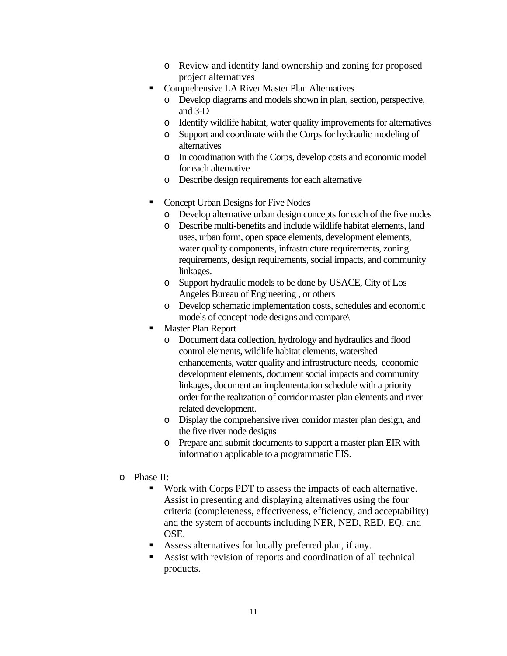- o Review and identify land ownership and zoning for proposed project alternatives
- Comprehensive LA River Master Plan Alternatives
	- o Develop diagrams and models shown in plan, section, perspective, and 3-D
	- o Identify wildlife habitat, water quality improvements for alternatives
	- o Support and coordinate with the Corps for hydraulic modeling of alternatives
	- o In coordination with the Corps, develop costs and economic model for each alternative
	- o Describe design requirements for each alternative
- Concept Urban Designs for Five Nodes
	- o Develop alternative urban design concepts for each of the five nodes
	- o Describe multi-benefits and include wildlife habitat elements, land uses, urban form, open space elements, development elements, water quality components, infrastructure requirements, zoning requirements, design requirements, social impacts, and community linkages.
	- o Support hydraulic models to be done by USACE, City of Los Angeles Bureau of Engineering , or others
	- o Develop schematic implementation costs, schedules and economic models of concept node designs and compare\
- Master Plan Report
	- o Document data collection, hydrology and hydraulics and flood control elements, wildlife habitat elements, watershed enhancements, water quality and infrastructure needs, economic development elements, document social impacts and community linkages, document an implementation schedule with a priority order for the realization of corridor master plan elements and river related development.
	- o Display the comprehensive river corridor master plan design, and the five river node designs
	- o Prepare and submit documents to support a master plan EIR with information applicable to a programmatic EIS.
- o Phase II:
	- Work with Corps PDT to assess the impacts of each alternative. Assist in presenting and displaying alternatives using the four criteria (completeness, effectiveness, efficiency, and acceptability) and the system of accounts including NER, NED, RED, EQ, and OSE.
	- Assess alternatives for locally preferred plan, if any.
	- Assist with revision of reports and coordination of all technical products.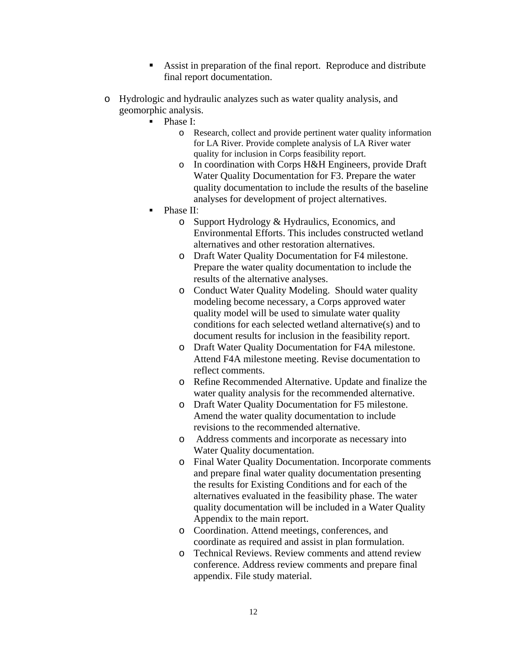- Assist in preparation of the final report. Reproduce and distribute final report documentation.
- o Hydrologic and hydraulic analyzes such as water quality analysis, and geomorphic analysis.
	- Phase I:
		- o Research, collect and provide pertinent water quality information for LA River. Provide complete analysis of LA River water quality for inclusion in Corps feasibility report.
		- o In coordination with Corps H&H Engineers, provide Draft Water Quality Documentation for F3. Prepare the water quality documentation to include the results of the baseline analyses for development of project alternatives.
	- Phase II:
		- o Support Hydrology & Hydraulics, Economics, and Environmental Efforts. This includes constructed wetland alternatives and other restoration alternatives.
		- o Draft Water Quality Documentation for F4 milestone. Prepare the water quality documentation to include the results of the alternative analyses.
		- o Conduct Water Quality Modeling. Should water quality modeling become necessary, a Corps approved water quality model will be used to simulate water quality conditions for each selected wetland alternative(s) and to document results for inclusion in the feasibility report.
		- o Draft Water Quality Documentation for F4A milestone. Attend F4A milestone meeting. Revise documentation to reflect comments.
		- o Refine Recommended Alternative. Update and finalize the water quality analysis for the recommended alternative.
		- o Draft Water Quality Documentation for F5 milestone. Amend the water quality documentation to include revisions to the recommended alternative.
		- o Address comments and incorporate as necessary into Water Quality documentation.
		- o Final Water Quality Documentation. Incorporate comments and prepare final water quality documentation presenting the results for Existing Conditions and for each of the alternatives evaluated in the feasibility phase. The water quality documentation will be included in a Water Quality Appendix to the main report.
		- o Coordination. Attend meetings, conferences, and coordinate as required and assist in plan formulation.
		- o Technical Reviews. Review comments and attend review conference. Address review comments and prepare final appendix. File study material.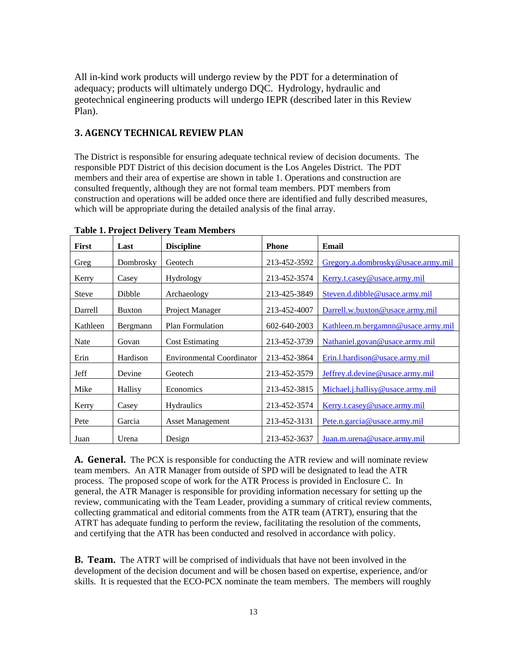All in-kind work products will undergo review by the PDT for a determination of adequacy; products will ultimately undergo DQC. Hydrology, hydraulic and geotechnical engineering products will undergo IEPR (described later in this Review Plan).

# **3. AGENCY TECHNICAL REVIEW PLAN**

The District is responsible for ensuring adequate technical review of decision documents. The responsible PDT District of this decision document is the Los Angeles District. The PDT members and their area of expertise are shown in table 1. Operations and construction are consulted frequently, although they are not formal team members. PDT members from construction and operations will be added once there are identified and fully described measures, which will be appropriate during the detailed analysis of the final array.

| <b>First</b> | Last          | <b>Discipline</b>                | <b>Phone</b> | Email                              |
|--------------|---------------|----------------------------------|--------------|------------------------------------|
| Greg         | Dombrosky     | Geotech                          | 213-452-3592 | Gregory.a.dombrosky@usace.army.mil |
| Kerry        | Casey         | Hydrology                        | 213-452-3574 | Kerry.t.casey@usace.army.mil       |
| <b>Steve</b> | Dibble        | Archaeology                      | 213-425-3849 | Steven.d.dibble@usace.army.mil     |
| Darrell      | <b>Buxton</b> | Project Manager                  | 213-452-4007 | Darrell.w.buxton@usace.army.mil    |
| Kathleen     | Bergmann      | <b>Plan Formulation</b>          | 602-640-2003 | Kathleen.m.bergamnn@usace.army.mil |
| Nate         | Govan         | <b>Cost Estimating</b>           | 213-452-3739 | Nathaniel.govan@usace.army.mil     |
| Erin         | Hardison      | <b>Environmental Coordinator</b> | 213-452-3864 | Erin.l.hardison@usace.army.mil     |
| Jeff         | Devine        | Geotech                          | 213-452-3579 | Jeffrey.d.devine@usace.army.mil    |
| Mike         | Hallisy       | Economics                        | 213-452-3815 | Michael.j.hallisy@usace.army.mil   |
| Kerry        | Casey         | Hydraulics                       | 213-452-3574 | Kerry.t.casey@usace.army.mil       |
| Pete         | Garcia        | <b>Asset Management</b>          | 213-452-3131 | Pete.n.garcia@usace.army.mil       |
| Juan         | Urena         | Design                           | 213-452-3637 | Juan.m.urena@usace.army.mil        |

**Table 1. Project Delivery Team Members** 

A. General. The PCX is responsible for conducting the ATR review and will nominate review team members. An ATR Manager from outside of SPD will be designated to lead the ATR process. The proposed scope of work for the ATR Process is provided in Enclosure C. In general, the ATR Manager is responsible for providing information necessary for setting up the review, communicating with the Team Leader, providing a summary of critical review comments, collecting grammatical and editorial comments from the ATR team (ATRT), ensuring that the ATRT has adequate funding to perform the review, facilitating the resolution of the comments, and certifying that the ATR has been conducted and resolved in accordance with policy.

**B.** Team. The ATRT will be comprised of individuals that have not been involved in the development of the decision document and will be chosen based on expertise, experience, and/or skills. It is requested that the ECO-PCX nominate the team members. The members will roughly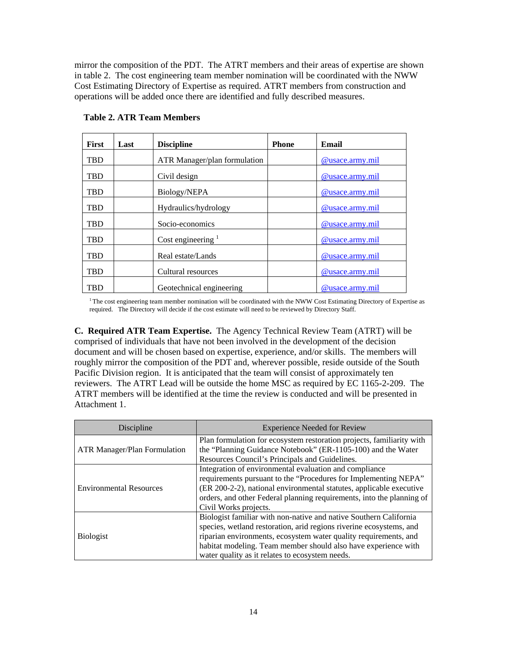mirror the composition of the PDT. The ATRT members and their areas of expertise are shown in table 2. The cost engineering team member nomination will be coordinated with the NWW Cost Estimating Directory of Expertise as required. ATRT members from construction and operations will be added once there are identified and fully described measures.

| <b>First</b> | Last | <b>Discipline</b>            | <b>Phone</b> | <b>Email</b>           |
|--------------|------|------------------------------|--------------|------------------------|
| TBD          |      | ATR Manager/plan formulation |              | <u>@usace.army.mil</u> |
| <b>TBD</b>   |      | Civil design                 |              | @usace.army.mil        |
| TBD          |      | Biology/NEPA                 |              | @usace.army.mil        |
| <b>TBD</b>   |      | Hydraulics/hydrology         |              | <u>@usace.army.mil</u> |
| TBD          |      | Socio-economics              |              | @usace.army.mil        |
| <b>TBD</b>   |      | Cost engineering $1$         |              | @usace.army.mil        |
| <b>TBD</b>   |      | Real estate/Lands            |              | @usace.army.mil        |
| <b>TBD</b>   |      | Cultural resources           |              | @usace.army.mil        |
| TBD          |      | Geotechnical engineering     |              | @usace.army.mil        |

 **Table 2. ATR Team Members** 

<sup>1</sup> The cost engineering team member nomination will be coordinated with the NWW Cost Estimating Directory of Expertise as required. The Directory will decide if the cost estimate will need to be reviewed by Directory Staff.

**C. Required ATR Team Expertise.** The Agency Technical Review Team (ATRT) will be comprised of individuals that have not been involved in the development of the decision document and will be chosen based on expertise, experience, and/or skills. The members will roughly mirror the composition of the PDT and, wherever possible, reside outside of the South Pacific Division region. It is anticipated that the team will consist of approximately ten reviewers. The ATRT Lead will be outside the home MSC as required by EC 1165-2-209. The ATRT members will be identified at the time the review is conducted and will be presented in Attachment 1.

| Discipline                          | <b>Experience Needed for Review</b>                                                                                                   |
|-------------------------------------|---------------------------------------------------------------------------------------------------------------------------------------|
| <b>ATR Manager/Plan Formulation</b> | Plan formulation for ecosystem restoration projects, familiarity with<br>the "Planning Guidance Notebook" (ER-1105-100) and the Water |
|                                     | Resources Council's Principals and Guidelines.                                                                                        |
|                                     | Integration of environmental evaluation and compliance                                                                                |
|                                     | requirements pursuant to the "Procedures for Implementing NEPA"                                                                       |
| <b>Environmental Resources</b>      | (ER 200-2-2), national environmental statutes, applicable executive                                                                   |
|                                     | orders, and other Federal planning requirements, into the planning of                                                                 |
|                                     | Civil Works projects.                                                                                                                 |
|                                     | Biologist familiar with non-native and native Southern California                                                                     |
|                                     | species, wetland restoration, arid regions riverine ecosystems, and                                                                   |
| <b>Biologist</b>                    | riparian environments, ecosystem water quality requirements, and                                                                      |
|                                     | habitat modeling. Team member should also have experience with                                                                        |
|                                     | water quality as it relates to ecosystem needs.                                                                                       |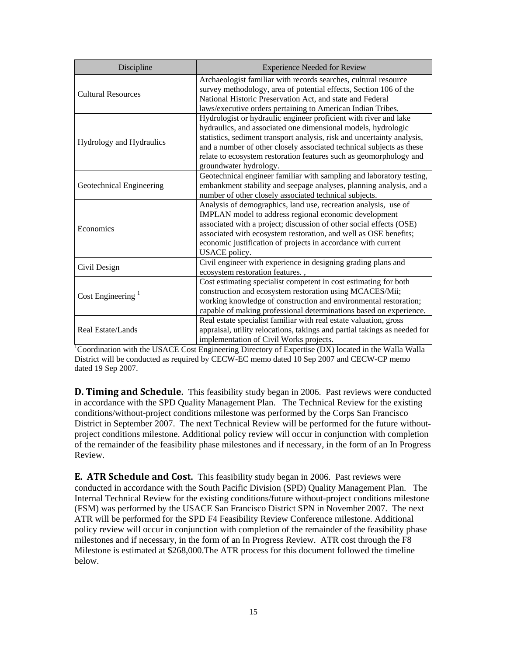| Discipline                    | <b>Experience Needed for Review</b>                                                                                                                                                                                                                                                                                                                                                  |
|-------------------------------|--------------------------------------------------------------------------------------------------------------------------------------------------------------------------------------------------------------------------------------------------------------------------------------------------------------------------------------------------------------------------------------|
| <b>Cultural Resources</b>     | Archaeologist familiar with records searches, cultural resource<br>survey methodology, area of potential effects, Section 106 of the<br>National Historic Preservation Act, and state and Federal<br>laws/executive orders pertaining to American Indian Tribes.                                                                                                                     |
| Hydrology and Hydraulics      | Hydrologist or hydraulic engineer proficient with river and lake<br>hydraulics, and associated one dimensional models, hydrologic<br>statistics, sediment transport analysis, risk and uncertainty analysis,<br>and a number of other closely associated technical subjects as these<br>relate to ecosystem restoration features such as geomorphology and<br>groundwater hydrology. |
| Geotechnical Engineering      | Geotechnical engineer familiar with sampling and laboratory testing,<br>embankment stability and seepage analyses, planning analysis, and a<br>number of other closely associated technical subjects.                                                                                                                                                                                |
| Economics                     | Analysis of demographics, land use, recreation analysis, use of<br>IMPLAN model to address regional economic development<br>associated with a project; discussion of other social effects (OSE)<br>associated with ecosystem restoration, and well as OSE benefits;<br>economic justification of projects in accordance with current<br>USACE policy.                                |
| Civil Design                  | Civil engineer with experience in designing grading plans and<br>ecosystem restoration features.,                                                                                                                                                                                                                                                                                    |
| Cost Engineering <sup>1</sup> | Cost estimating specialist competent in cost estimating for both<br>construction and ecosystem restoration using MCACES/Mii;<br>working knowledge of construction and environmental restoration;<br>capable of making professional determinations based on experience.                                                                                                               |
| Real Estate/Lands             | Real estate specialist familiar with real estate valuation, gross<br>appraisal, utility relocations, takings and partial takings as needed for<br>implementation of Civil Works projects.                                                                                                                                                                                            |

| implementation of Civil Works projects.<br>
<sup>1</sup>Coordination with the USACE Cost Engineering Directory of Expertise (DX) located in the Walla Walla District will be conducted as required by CECW-EC memo dated 10 Sep 2007 and CECW-CP memo dated 19 Sep 2007.

**D. Timing and Schedule.** This feasibility study began in 2006. Past reviews were conducted in accordance with the SPD Quality Management Plan. The Technical Review for the existing conditions/without-project conditions milestone was performed by the Corps San Francisco District in September 2007. The next Technical Review will be performed for the future withoutproject conditions milestone. Additional policy review will occur in conjunction with completion of the remainder of the feasibility phase milestones and if necessary, in the form of an In Progress Review.

**E. ATR Schedule and Cost.** This feasibility study began in 2006. Past reviews were conducted in accordance with the South Pacific Division (SPD) Quality Management Plan. The Internal Technical Review for the existing conditions/future without-project conditions milestone (FSM) was performed by the USACE San Francisco District SPN in November 2007. The next ATR will be performed for the SPD F4 Feasibility Review Conference milestone. Additional policy review will occur in conjunction with completion of the remainder of the feasibility phase milestones and if necessary, in the form of an In Progress Review. ATR cost through the F8 Milestone is estimated at \$268,000.The ATR process for this document followed the timeline below.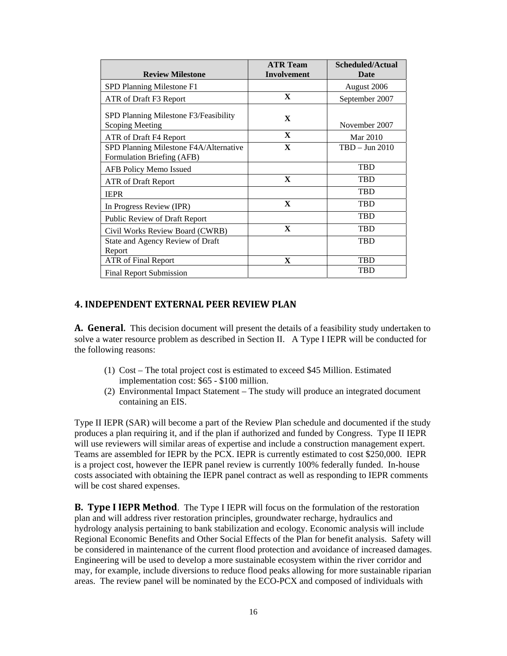|                                                                      | <b>ATR Team</b>    | Scheduled/Actual |
|----------------------------------------------------------------------|--------------------|------------------|
| <b>Review Milestone</b>                                              | <b>Involvement</b> | Date             |
| SPD Planning Milestone F1                                            |                    | August 2006      |
| ATR of Draft F3 Report                                               | $\mathbf{X}$       | September 2007   |
| SPD Planning Milestone F3/Feasibility<br><b>Scoping Meeting</b>      | $\mathbf{X}$       | November 2007    |
| ATR of Draft F4 Report                                               | $\mathbf{X}$       | Mar 2010         |
| SPD Planning Milestone F4A/Alternative<br>Formulation Briefing (AFB) | $\mathbf{X}$       | TBD - Jun 2010   |
| AFB Policy Memo Issued                                               |                    | <b>TBD</b>       |
| ATR of Draft Report                                                  | $\mathbf{X}$       | <b>TBD</b>       |
| <b>IEPR</b>                                                          |                    | <b>TBD</b>       |
| In Progress Review (IPR)                                             | $\mathbf{X}$       | <b>TBD</b>       |
| Public Review of Draft Report                                        |                    | <b>TBD</b>       |
| Civil Works Review Board (CWRB)                                      | $\mathbf{X}$       | <b>TBD</b>       |
| State and Agency Review of Draft<br>Report                           |                    | <b>TBD</b>       |
| <b>ATR</b> of Final Report                                           | X                  | <b>TBD</b>       |
| Final Report Submission                                              |                    | <b>TBD</b>       |

#### **4. INDEPENDENT EXTERNAL PEER REVIEW PLAN**

**A. General.** This decision document will present the details of a feasibility study undertaken to solve a water resource problem as described in Section II. A Type I IEPR will be conducted for the following reasons:

- (1) Cost The total project cost is estimated to exceed \$45 Million. Estimated implementation cost: \$65 - \$100 million.
- (2) Environmental Impact Statement The study will produce an integrated document containing an EIS.

Type II IEPR (SAR) will become a part of the Review Plan schedule and documented if the study produces a plan requiring it, and if the plan if authorized and funded by Congress. Type II IEPR will use reviewers will similar areas of expertise and include a construction management expert. Teams are assembled for IEPR by the PCX. IEPR is currently estimated to cost \$250,000. IEPR is a project cost, however the IEPR panel review is currently 100% federally funded. In-house costs associated with obtaining the IEPR panel contract as well as responding to IEPR comments will be cost shared expenses.

**B. Type I IEPR Method**. The Type I IEPR will focus on the formulation of the restoration plan and will address river restoration principles, groundwater recharge, hydraulics and hydrology analysis pertaining to bank stabilization and ecology. Economic analysis will include Regional Economic Benefits and Other Social Effects of the Plan for benefit analysis. Safety will be considered in maintenance of the current flood protection and avoidance of increased damages. Engineering will be used to develop a more sustainable ecosystem within the river corridor and may, for example, include diversions to reduce flood peaks allowing for more sustainable riparian areas. The review panel will be nominated by the ECO-PCX and composed of individuals with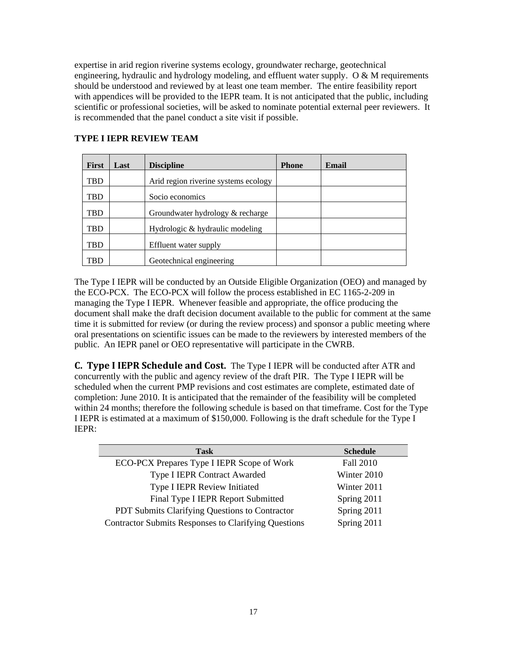expertise in arid region riverine systems ecology, groundwater recharge, geotechnical engineering, hydraulic and hydrology modeling, and effluent water supply.  $\overline{O} \& M$  requirements should be understood and reviewed by at least one team member. The entire feasibility report with appendices will be provided to the IEPR team. It is not anticipated that the public, including scientific or professional societies, will be asked to nominate potential external peer reviewers. It is recommended that the panel conduct a site visit if possible.

| <b>First</b> | Last | <b>Discipline</b>                    | <b>Phone</b> | Email |
|--------------|------|--------------------------------------|--------------|-------|
| TBD          |      | Arid region riverine systems ecology |              |       |
| TBD          |      | Socio economics                      |              |       |
| TBD          |      | Groundwater hydrology & recharge     |              |       |
| TBD          |      | Hydrologic & hydraulic modeling      |              |       |
| <b>TBD</b>   |      | Effluent water supply                |              |       |
| TBD          |      | Geotechnical engineering             |              |       |

#### **TYPE I IEPR REVIEW TEAM**

The Type I IEPR will be conducted by an Outside Eligible Organization (OEO) and managed by the ECO-PCX. The ECO-PCX will follow the process established in EC 1165-2-209 in managing the Type I IEPR. Whenever feasible and appropriate, the office producing the document shall make the draft decision document available to the public for comment at the same time it is submitted for review (or during the review process) and sponsor a public meeting where oral presentations on scientific issues can be made to the reviewers by interested members of the public. An IEPR panel or OEO representative will participate in the CWRB.

**C. Type I IEPR Schedule and Cost.** The Type I IEPR will be conducted after ATR and concurrently with the public and agency review of the draft PIR. The Type I IEPR will be scheduled when the current PMP revisions and cost estimates are complete, estimated date of completion: June 2010. It is anticipated that the remainder of the feasibility will be completed within 24 months; therefore the following schedule is based on that timeframe. Cost for the Type I IEPR is estimated at a maximum of \$150,000. Following is the draft schedule for the Type I IEPR:

| <b>Task</b>                                                 | <b>Schedule</b>  |
|-------------------------------------------------------------|------------------|
| ECO-PCX Prepares Type I IEPR Scope of Work                  | <b>Fall 2010</b> |
| <b>Type I IEPR Contract Awarded</b>                         | Winter 2010      |
| Type I IEPR Review Initiated                                | Winter 2011      |
| Final Type I IEPR Report Submitted                          | Spring 2011      |
| <b>PDT Submits Clarifying Questions to Contractor</b>       | Spring 2011      |
| <b>Contractor Submits Responses to Clarifying Questions</b> | Spring 2011      |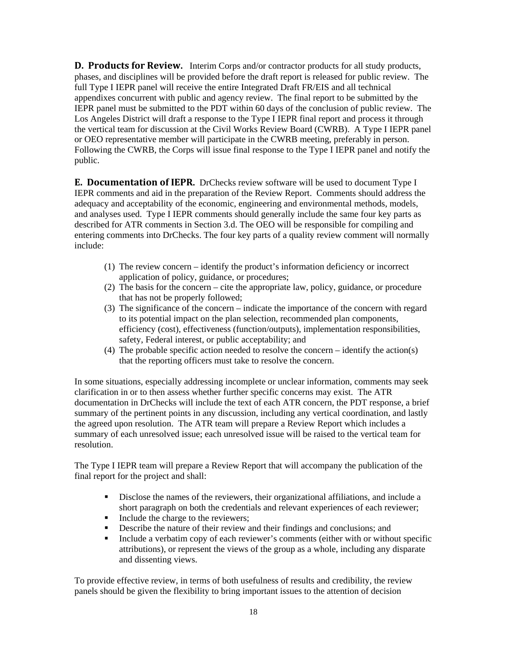**D. Products for Review.** Interim Corps and/or contractor products for all study products, phases, and disciplines will be provided before the draft report is released for public review. The full Type I IEPR panel will receive the entire Integrated Draft FR/EIS and all technical appendixes concurrent with public and agency review. The final report to be submitted by the IEPR panel must be submitted to the PDT within 60 days of the conclusion of public review. The Los Angeles District will draft a response to the Type I IEPR final report and process it through the vertical team for discussion at the Civil Works Review Board (CWRB). A Type I IEPR panel or OEO representative member will participate in the CWRB meeting, preferably in person. Following the CWRB, the Corps will issue final response to the Type I IEPR panel and notify the public.

**E. Documentation of IEPR.** DrChecks review software will be used to document Type I IEPR comments and aid in the preparation of the Review Report. Comments should address the adequacy and acceptability of the economic, engineering and environmental methods, models, and analyses used. Type I IEPR comments should generally include the same four key parts as described for ATR comments in Section 3.d. The OEO will be responsible for compiling and entering comments into DrChecks. The four key parts of a quality review comment will normally include:

- (1) The review concern identify the product's information deficiency or incorrect application of policy, guidance, or procedures;
- (2) The basis for the concern cite the appropriate law, policy, guidance, or procedure that has not be properly followed;
- (3) The significance of the concern indicate the importance of the concern with regard to its potential impact on the plan selection, recommended plan components, efficiency (cost), effectiveness (function/outputs), implementation responsibilities, safety, Federal interest, or public acceptability; and
- (4) The probable specific action needed to resolve the concern identify the action(s) that the reporting officers must take to resolve the concern.

In some situations, especially addressing incomplete or unclear information, comments may seek clarification in or to then assess whether further specific concerns may exist. The ATR documentation in DrChecks will include the text of each ATR concern, the PDT response, a brief summary of the pertinent points in any discussion, including any vertical coordination, and lastly the agreed upon resolution. The ATR team will prepare a Review Report which includes a summary of each unresolved issue; each unresolved issue will be raised to the vertical team for resolution.

The Type I IEPR team will prepare a Review Report that will accompany the publication of the final report for the project and shall:

- Disclose the names of the reviewers, their organizational affiliations, and include a short paragraph on both the credentials and relevant experiences of each reviewer;
- Include the charge to the reviewers;
- Describe the nature of their review and their findings and conclusions; and
- Include a verbatim copy of each reviewer's comments (either with or without specific attributions), or represent the views of the group as a whole, including any disparate and dissenting views.

To provide effective review, in terms of both usefulness of results and credibility, the review panels should be given the flexibility to bring important issues to the attention of decision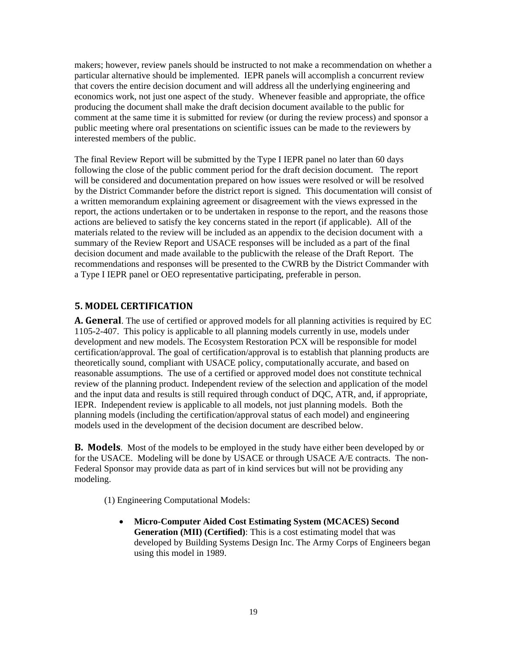makers; however, review panels should be instructed to not make a recommendation on whether a particular alternative should be implemented. IEPR panels will accomplish a concurrent review that covers the entire decision document and will address all the underlying engineering and economics work, not just one aspect of the study. Whenever feasible and appropriate, the office producing the document shall make the draft decision document available to the public for comment at the same time it is submitted for review (or during the review process) and sponsor a public meeting where oral presentations on scientific issues can be made to the reviewers by interested members of the public.

The final Review Report will be submitted by the Type I IEPR panel no later than 60 days following the close of the public comment period for the draft decision document. The report will be considered and documentation prepared on how issues were resolved or will be resolved by the District Commander before the district report is signed. This documentation will consist of a written memorandum explaining agreement or disagreement with the views expressed in the report, the actions undertaken or to be undertaken in response to the report, and the reasons those actions are believed to satisfy the key concerns stated in the report (if applicable). All of the materials related to the review will be included as an appendix to the decision document with a summary of the Review Report and USACE responses will be included as a part of the final decision document and made available to the publicwith the release of the Draft Report. The recommendations and responses will be presented to the CWRB by the District Commander with a Type I IEPR panel or OEO representative participating, preferable in person.

## **5. MODEL CERTIFICATION**

**A. General**. The use of certified or approved models for all planning activities is required by EC 1105-2-407. This policy is applicable to all planning models currently in use, models under development and new models. The Ecosystem Restoration PCX will be responsible for model certification/approval. The goal of certification/approval is to establish that planning products are theoretically sound, compliant with USACE policy, computationally accurate, and based on reasonable assumptions. The use of a certified or approved model does not constitute technical review of the planning product. Independent review of the selection and application of the model and the input data and results is still required through conduct of DQC, ATR, and, if appropriate, IEPR. Independent review is applicable to all models, not just planning models. Both the planning models (including the certification/approval status of each model) and engineering models used in the development of the decision document are described below.

**B.** Models. Most of the models to be employed in the study have either been developed by or for the USACE. Modeling will be done by USACE or through USACE A/E contracts. The non-Federal Sponsor may provide data as part of in kind services but will not be providing any modeling.

(1) Engineering Computational Models:

 **Micro-Computer Aided Cost Estimating System (MCACES) Second Generation (MII) (Certified)**: This is a cost estimating model that was developed by Building Systems Design Inc. The Army Corps of Engineers began using this model in 1989.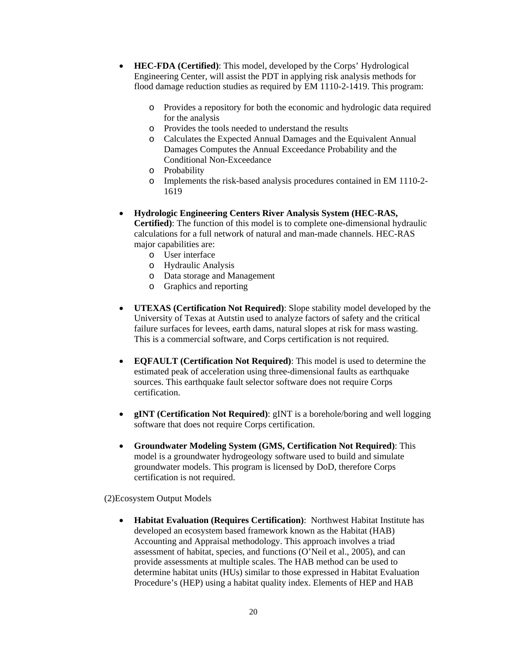- **HEC-FDA (Certified)**: This model, developed by the Corps' Hydrological Engineering Center, will assist the PDT in applying risk analysis methods for flood damage reduction studies as required by EM 1110-2-1419. This program:
	- o Provides a repository for both the economic and hydrologic data required for the analysis
	- o Provides the tools needed to understand the results
	- o Calculates the Expected Annual Damages and the Equivalent Annual Damages Computes the Annual Exceedance Probability and the Conditional Non-Exceedance
	- o Probability
	- o Implements the risk-based analysis procedures contained in EM 1110-2- 1619
- **Hydrologic Engineering Centers River Analysis System (HEC-RAS, Certified)**: The function of this model is to complete one-dimensional hydraulic calculations for a full network of natural and man-made channels. HEC-RAS major capabilities are:
	- o User interface
	- o Hydraulic Analysis
	- o Data storage and Management
	- o Graphics and reporting
- **UTEXAS (Certification Not Required)**: Slope stability model developed by the University of Texas at Autstin used to analyze factors of safety and the critical failure surfaces for levees, earth dams, natural slopes at risk for mass wasting. This is a commercial software, and Corps certification is not required.
- **EQFAULT (Certification Not Required)**: This model is used to determine the estimated peak of acceleration using three-dimensional faults as earthquake sources. This earthquake fault selector software does not require Corps certification.
- gINT (Certification Not Required): gINT is a borehole/boring and well logging software that does not require Corps certification.
- **Groundwater Modeling System (GMS, Certification Not Required)**: This model is a groundwater hydrogeology software used to build and simulate groundwater models. This program is licensed by DoD, therefore Corps certification is not required.

(2)Ecosystem Output Models

 **Habitat Evaluation (Requires Certification)**: Northwest Habitat Institute has developed an ecosystem based framework known as the Habitat (HAB) Accounting and Appraisal methodology. This approach involves a triad assessment of habitat, species, and functions (O'Neil et al., 2005), and can provide assessments at multiple scales. The HAB method can be used to determine habitat units (HUs) similar to those expressed in Habitat Evaluation Procedure's (HEP) using a habitat quality index. Elements of HEP and HAB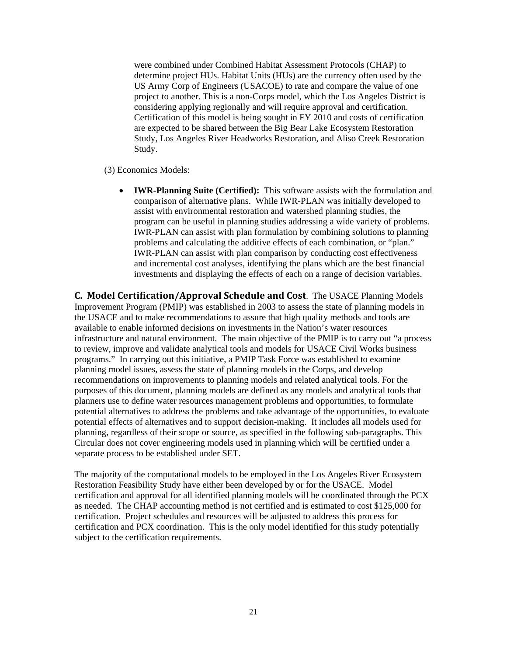were combined under Combined Habitat Assessment Protocols (CHAP) to determine project HUs. Habitat Units (HUs) are the currency often used by the US Army Corp of Engineers (USACOE) to rate and compare the value of one project to another. This is a non-Corps model, which the Los Angeles District is considering applying regionally and will require approval and certification. Certification of this model is being sought in FY 2010 and costs of certification are expected to be shared between the Big Bear Lake Ecosystem Restoration Study, Los Angeles River Headworks Restoration, and Aliso Creek Restoration Study.

#### (3) Economics Models:

 **IWR-Planning Suite (Certified):** This software assists with the formulation and comparison of alternative plans. While IWR-PLAN was initially developed to assist with environmental restoration and watershed planning studies, the program can be useful in planning studies addressing a wide variety of problems. IWR-PLAN can assist with plan formulation by combining solutions to planning problems and calculating the additive effects of each combination, or "plan." IWR-PLAN can assist with plan comparison by conducting cost effectiveness and incremental cost analyses, identifying the plans which are the best financial investments and displaying the effects of each on a range of decision variables.

**C. Model Certification/Approval Schedule and Cost**. The USACE Planning Models Improvement Program (PMIP) was established in 2003 to assess the state of planning models in the USACE and to make recommendations to assure that high quality methods and tools are available to enable informed decisions on investments in the Nation's water resources infrastructure and natural environment. The main objective of the PMIP is to carry out "a process to review, improve and validate analytical tools and models for USACE Civil Works business programs." In carrying out this initiative, a PMIP Task Force was established to examine planning model issues, assess the state of planning models in the Corps, and develop recommendations on improvements to planning models and related analytical tools. For the purposes of this document, planning models are defined as any models and analytical tools that planners use to define water resources management problems and opportunities, to formulate potential alternatives to address the problems and take advantage of the opportunities, to evaluate potential effects of alternatives and to support decision-making. It includes all models used for planning, regardless of their scope or source, as specified in the following sub-paragraphs. This Circular does not cover engineering models used in planning which will be certified under a separate process to be established under SET.

The majority of the computational models to be employed in the Los Angeles River Ecosystem Restoration Feasibility Study have either been developed by or for the USACE. Model certification and approval for all identified planning models will be coordinated through the PCX as needed. The CHAP accounting method is not certified and is estimated to cost \$125,000 for certification. Project schedules and resources will be adjusted to address this process for certification and PCX coordination. This is the only model identified for this study potentially subject to the certification requirements.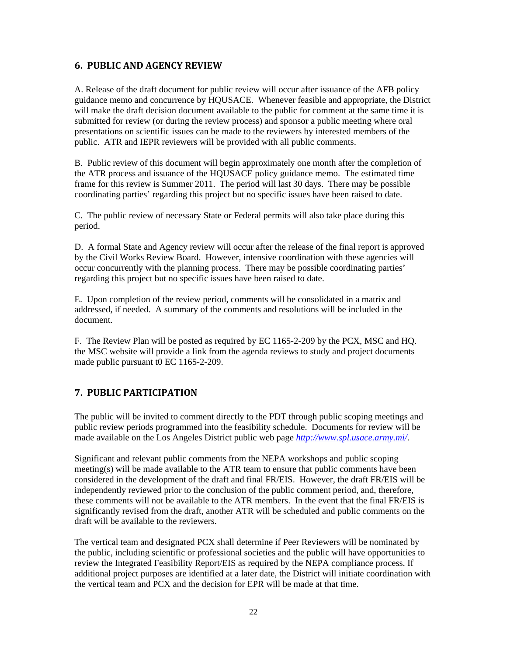#### **6. PUBLIC AND AGENCY REVIEW**

A. Release of the draft document for public review will occur after issuance of the AFB policy guidance memo and concurrence by HQUSACE. Whenever feasible and appropriate, the District will make the draft decision document available to the public for comment at the same time it is submitted for review (or during the review process) and sponsor a public meeting where oral presentations on scientific issues can be made to the reviewers by interested members of the public. ATR and IEPR reviewers will be provided with all public comments.

B. Public review of this document will begin approximately one month after the completion of the ATR process and issuance of the HQUSACE policy guidance memo. The estimated time frame for this review is Summer 2011. The period will last 30 days. There may be possible coordinating parties' regarding this project but no specific issues have been raised to date.

C. The public review of necessary State or Federal permits will also take place during this period.

D. A formal State and Agency review will occur after the release of the final report is approved by the Civil Works Review Board. However, intensive coordination with these agencies will occur concurrently with the planning process. There may be possible coordinating parties' regarding this project but no specific issues have been raised to date.

E. Upon completion of the review period, comments will be consolidated in a matrix and addressed, if needed. A summary of the comments and resolutions will be included in the document.

F. The Review Plan will be posted as required by EC 1165-2-209 by the PCX, MSC and HQ. the MSC website will provide a link from the agenda reviews to study and project documents made public pursuant t0 EC 1165-2-209.

## **7. PUBLIC PARTICIPATION**

The public will be invited to comment directly to the PDT through public scoping meetings and public review periods programmed into the feasibility schedule. Documents for review will be made available on the Los Angeles District public web page *http://www.spl.usace.army.mi/*.

Significant and relevant public comments from the NEPA workshops and public scoping meeting(s) will be made available to the ATR team to ensure that public comments have been considered in the development of the draft and final FR/EIS. However, the draft FR/EIS will be independently reviewed prior to the conclusion of the public comment period, and, therefore, these comments will not be available to the ATR members. In the event that the final FR/EIS is significantly revised from the draft, another ATR will be scheduled and public comments on the draft will be available to the reviewers.

The vertical team and designated PCX shall determine if Peer Reviewers will be nominated by the public, including scientific or professional societies and the public will have opportunities to review the Integrated Feasibility Report/EIS as required by the NEPA compliance process. If additional project purposes are identified at a later date, the District will initiate coordination with the vertical team and PCX and the decision for EPR will be made at that time.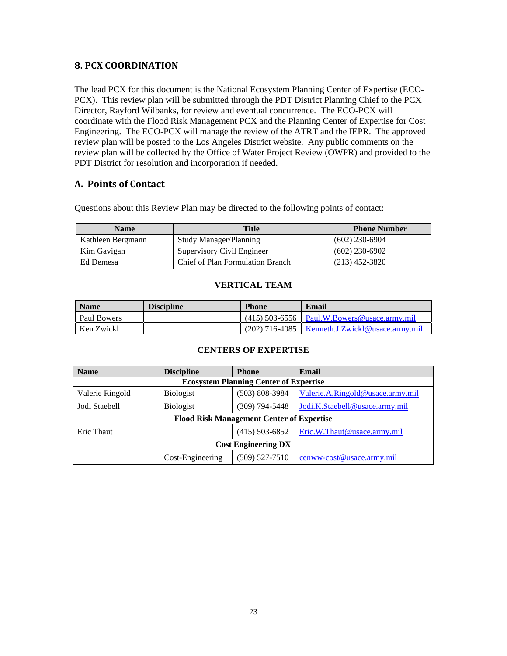# **8. PCX COORDINATION**

The lead PCX for this document is the National Ecosystem Planning Center of Expertise (ECO-PCX). This review plan will be submitted through the PDT District Planning Chief to the PCX Director, Rayford Wilbanks, for review and eventual concurrence. The ECO-PCX will coordinate with the Flood Risk Management PCX and the Planning Center of Expertise for Cost Engineering. The ECO-PCX will manage the review of the ATRT and the IEPR. The approved review plan will be posted to the Los Angeles District website. Any public comments on the review plan will be collected by the Office of Water Project Review (OWPR) and provided to the PDT District for resolution and incorporation if needed.

# **A. Points of Contact**

Questions about this Review Plan may be directed to the following points of contact:

| <b>Name</b>       | Title                            | <b>Phone Number</b> |
|-------------------|----------------------------------|---------------------|
| Kathleen Bergmann | <b>Study Manager/Planning</b>    | $(602)$ 230-6904    |
| Kim Gavigan       | Supervisory Civil Engineer       |                     |
| Ed Demesa         | Chief of Plan Formulation Branch | $(213)$ 452-3820    |

## **VERTICAL TEAM**

| <b>Name</b> | <b>Discipline</b> | <b>Phone</b> | Email                                              |
|-------------|-------------------|--------------|----------------------------------------------------|
| Paul Bowers |                   |              | $(415)$ 503-6556   Paul.W.Bowers@usace.army.mil    |
| Ken Zwickl  |                   |              | $(202)$ 716-4085   Kenneth.J.Zwickl@usace.army.mil |

## **CENTERS OF EXPERTISE**

| <b>Name</b>                                      | <b>Discipline</b> | <b>Phone</b>       | Email                            |  |  |
|--------------------------------------------------|-------------------|--------------------|----------------------------------|--|--|
| <b>Ecosystem Planning Center of Expertise</b>    |                   |                    |                                  |  |  |
| Valerie Ringold                                  | <b>Biologist</b>  | (503) 808-3984     | Valerie.A.Ringold@usace.army.mil |  |  |
| Jodi Staebell                                    | <b>Biologist</b>  | $(309)$ 794-5448   | Jodi.K.Staebell@usace.army.mil   |  |  |
| <b>Flood Risk Management Center of Expertise</b> |                   |                    |                                  |  |  |
| Eric Thaut                                       |                   | $(415)$ 503-6852   | Eric.W.Thaut@usace.army.mil      |  |  |
| <b>Cost Engineering DX</b>                       |                   |                    |                                  |  |  |
|                                                  | Cost-Engineering  | $(509) 527 - 7510$ | cenww-cost@usace.army.mil        |  |  |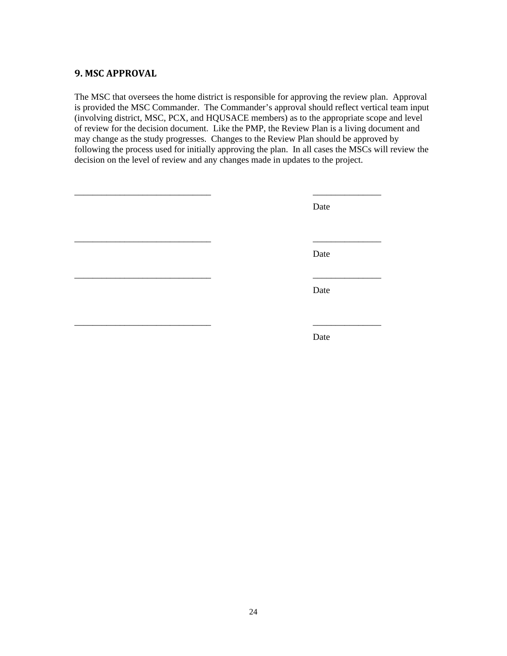#### **9. MSC APPROVAL**

The MSC that oversees the home district is responsible for approving the review plan. Approval is provided the MSC Commander. The Commander's approval should reflect vertical team input (involving district, MSC, PCX, and HQUSACE members) as to the appropriate scope and level of review for the decision document. Like the PMP, the Review Plan is a living document and may change as the study progresses. Changes to the Review Plan should be approved by following the process used for initially approving the plan. In all cases the MSCs will review the decision on the level of review and any changes made in updates to the project.

| Date |
|------|
| Date |
| Date |
| Date |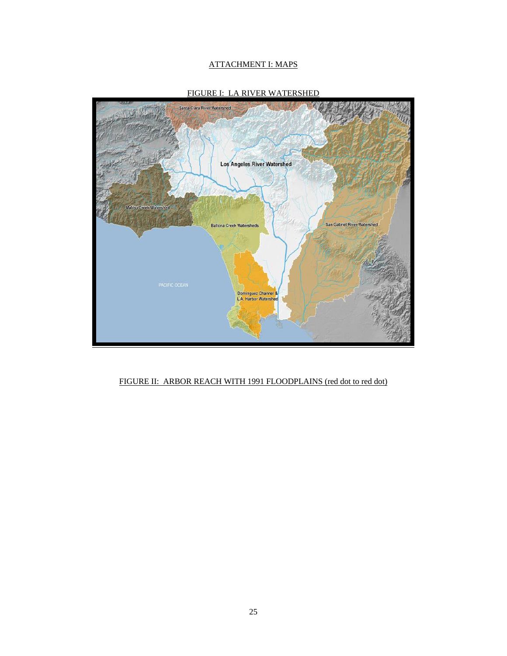#### ATTACHMENT I: MAPS



#### FIGURE I: LA RIVER WATERSHED

#### FIGURE II: ARBOR REACH WITH 1991 FLOODPLAINS (red dot to red dot)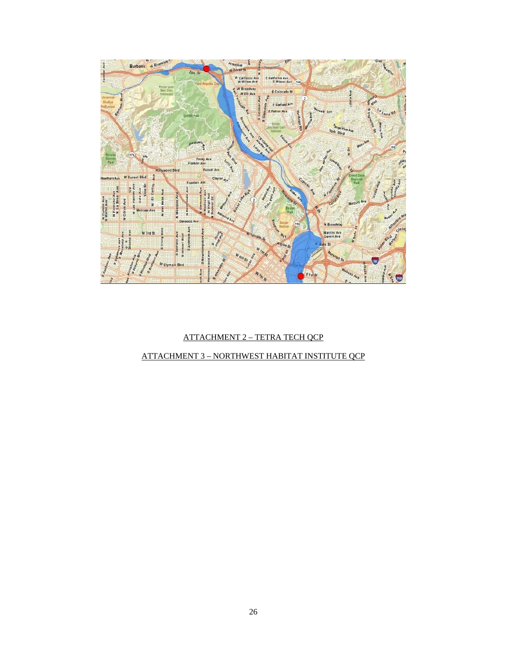

# ATTACHMENT 2 – TETRA TECH QCP

# ATTACHMENT 3 – NORTHWEST HABITAT INSTITUTE QCP